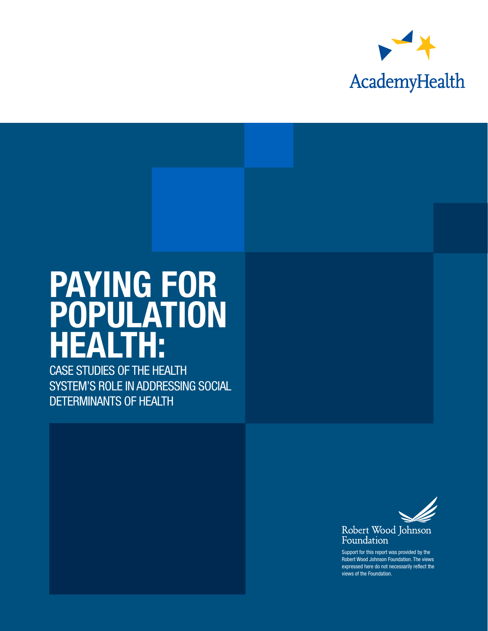

# PAYING FOR POPULATION HEALTH:

CASE STUDIES OF THE HEALTH SYSTEM'S ROLE IN ADDRESSING SOCIAL DETERMINANTS OF HEALTH



Support for this report was provided by the Robert Wood Johnson Foundation. The views expressed here do not necessarily reflect the views of the Foundation.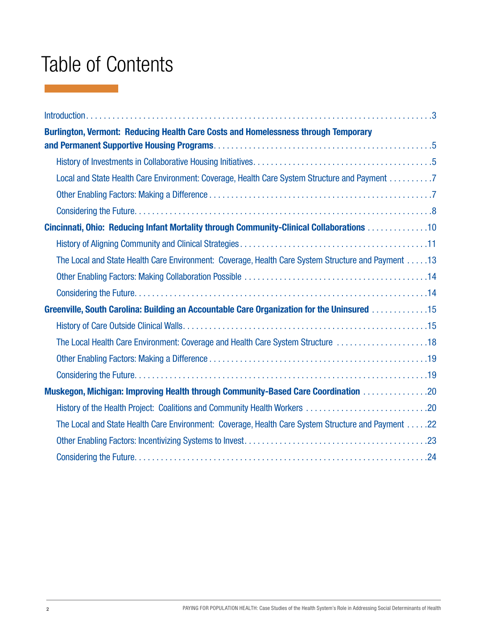# Table of Contents

| Burlington, Vermont: Reducing Health Care Costs and Homelessness through Temporary                     |
|--------------------------------------------------------------------------------------------------------|
|                                                                                                        |
|                                                                                                        |
| Local and State Health Care Environment: Coverage, Health Care System Structure and Payment 7          |
|                                                                                                        |
|                                                                                                        |
| Cincinnati, Ohio: Reducing Infant Mortality through Community-Clinical Collaborations 10               |
|                                                                                                        |
| 13. 13 The Local and State Health Care Environment: Coverage, Health Care System Structure and Payment |
|                                                                                                        |
|                                                                                                        |
| Greenville, South Carolina: Building an Accountable Care Organization for the Uninsured 15             |
|                                                                                                        |
|                                                                                                        |
|                                                                                                        |
|                                                                                                        |
| Muskegon, Michigan: Improving Health through Community-Based Care Coordination 20                      |
| History of the Health Project: Coalitions and Community Health Workers 20                              |
| The Local and State Health Care Environment: Coverage, Health Care System Structure and Payment 22     |
|                                                                                                        |
|                                                                                                        |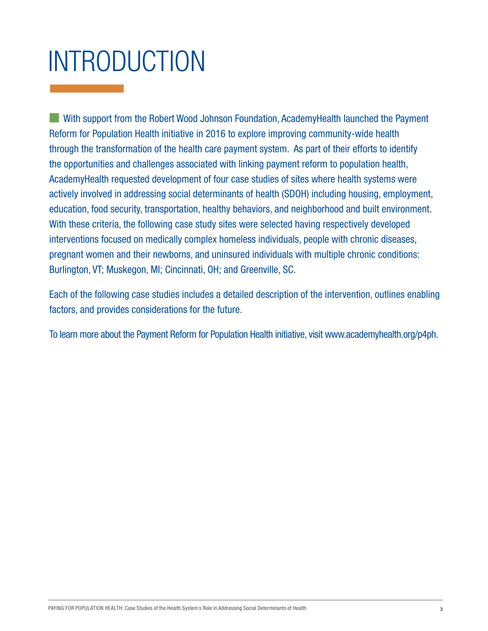# INTRODUCTION

With support from the Robert Wood Johnson Foundation, AcademyHealth launched the Payment [Reform for Population Health](http://www.academyhealth.org/p4ph) initiative in 2016 to explore improving community-wide health through the transformation of the health care payment system. As part of their efforts to identify the opportunities and challenges associated with linking payment reform to population health, AcademyHealth requested development of four case studies of sites where health systems were actively involved in addressing social determinants of health (SDOH) including housing, employment, education, food security, transportation, healthy behaviors, and neighborhood and built environment. With these criteria, the following case study sites were selected having respectively developed interventions focused on medically complex homeless individuals, people with chronic diseases, pregnant women and their newborns, and uninsured individuals with multiple chronic conditions: Burlington, VT; Muskegon, MI; Cincinnati, OH; and Greenville, SC.

Each of the following case studies includes a detailed description of the intervention, outlines enabling factors, and provides considerations for the future.

To learn more about the Payment Reform for Population Health initiative, visit www.academyhealth.org/p4ph.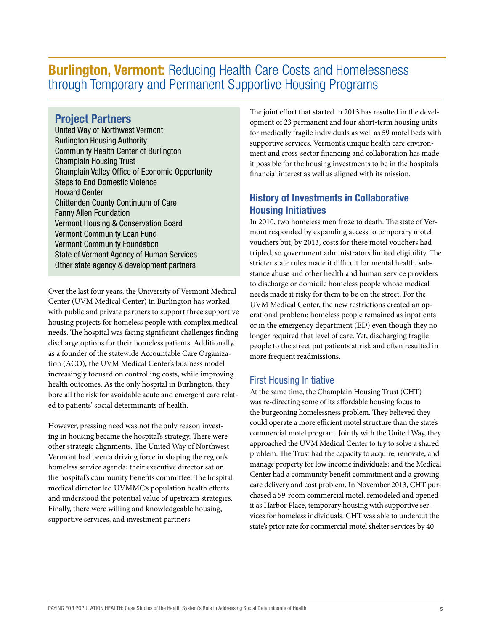## **Burlington, Vermont:** Reducing Health Care Costs and Homelessness through Temporary and Permanent Supportive Housing Programs

#### Project Partners

United Way of Northwest Vermont Burlington Housing Authority Community Health Center of Burlington Champlain Housing Trust Champlain Valley Office of Economic Opportunity Steps to End Domestic Violence Howard Center Chittenden County Continuum of Care Fanny Allen Foundation Vermont Housing & Conservation Board Vermont Community Loan Fund Vermont Community Foundation State of Vermont Agency of Human Services Other state agency & development partners

Over the last four years, the University of Vermont Medical Center (UVM Medical Center) in Burlington has worked with public and private partners to support three supportive housing projects for homeless people with complex medical needs. The hospital was facing significant challenges finding discharge options for their homeless patients. Additionally, as a founder of the statewide Accountable Care Organization (ACO), the UVM Medical Center's business model increasingly focused on controlling costs, while improving health outcomes. As the only hospital in Burlington, they bore all the risk for avoidable acute and emergent care related to patients' social determinants of health.

However, pressing need was not the only reason investing in housing became the hospital's strategy. There were other strategic alignments. The United Way of Northwest Vermont had been a driving force in shaping the region's homeless service agenda; their executive director sat on the hospital's community benefits committee. The hospital medical director led UVMMC's population health efforts and understood the potential value of upstream strategies. Finally, there were willing and knowledgeable housing, supportive services, and investment partners.

The joint effort that started in 2013 has resulted in the development of 23 permanent and four short-term housing units for medically fragile individuals as well as 59 motel beds with supportive services. Vermont's unique health care environment and cross-sector financing and collaboration has made it possible for the housing investments to be in the hospital's financial interest as well as aligned with its mission.

#### History of Investments in Collaborative Housing Initiatives

In 2010, two homeless men froze to death. The state of Vermont responded by expanding access to temporary motel vouchers but, by 2013, costs for these motel vouchers had tripled, so government administrators limited eligibility. The stricter state rules made it difficult for mental health, substance abuse and other health and human service providers to discharge or domicile homeless people whose medical needs made it risky for them to be on the street. For the UVM Medical Center, the new restrictions created an operational problem: homeless people remained as inpatients or in the emergency department (ED) even though they no longer required that level of care. Yet, discharging fragile people to the street put patients at risk and often resulted in more frequent readmissions.

#### First Housing Initiative

At the same time, the Champlain Housing Trust (CHT) was re-directing some of its affordable housing focus to the burgeoning homelessness problem. They believed they could operate a more efficient motel structure than the state's commercial motel program. Jointly with the United Way, they approached the UVM Medical Center to try to solve a shared problem. The Trust had the capacity to acquire, renovate, and manage property for low income individuals; and the Medical Center had a community benefit commitment and a growing care delivery and cost problem. In November 2013, CHT purchased a 59-room commercial motel, remodeled and opened it as Harbor Place, temporary housing with supportive services for homeless individuals. CHT was able to undercut the state's prior rate for commercial motel shelter services by 40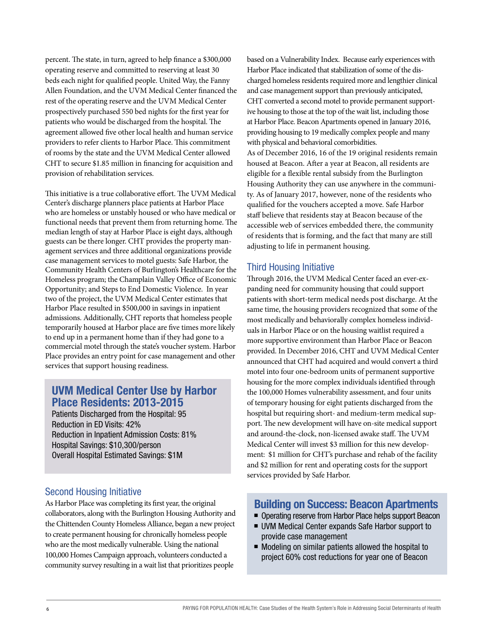percent. The state, in turn, agreed to help finance a \$300,000 operating reserve and committed to reserving at least 30 beds each night for qualified people. United Way, the Fanny Allen Foundation, and the UVM Medical Center financed the rest of the operating reserve and the UVM Medical Center prospectively purchased 550 bed nights for the first year for patients who would be discharged from the hospital. The agreement allowed five other local health and human service providers to refer clients to Harbor Place. This commitment of rooms by the state and the UVM Medical Center allowed CHT to secure \$1.85 million in financing for acquisition and provision of rehabilitation services.

This initiative is a true collaborative effort. The UVM Medical Center's discharge planners place patients at Harbor Place who are homeless or unstably housed or who have medical or functional needs that prevent them from returning home. The median length of stay at Harbor Place is eight days, although guests can be there longer. CHT provides the property management services and three additional organizations provide case management services to motel guests: Safe Harbor, the Community Health Centers of Burlington's Healthcare for the Homeless program; the Champlain Valley Office of Economic Opportunity; and Steps to End Domestic Violence. In year two of the project, the UVM Medical Center estimates that Harbor Place resulted in \$500,000 in savings in inpatient admissions. Additionally, CHT reports that homeless people temporarily housed at Harbor place are five times more likely to end up in a permanent home than if they had gone to a commercial motel through the state's voucher system. Harbor Place provides an entry point for case management and other services that support housing readiness.

#### UVM Medical Center Use by Harbor Place Residents: 2013-2015

Patients Discharged from the Hospital: 95 Reduction in ED Visits: 42% Reduction in Inpatient Admission Costs: 81% Hospital Savings: \$10,300/person Overall Hospital Estimated Savings: \$1M

#### Second Housing Initiative

As Harbor Place was completing its first year, the original collaborators, along with the Burlington Housing Authority and the Chittenden County Homeless Alliance, began a new project to create permanent housing for chronically homeless people who are the most medically vulnerable. Using the national 100,000 Homes Campaign approach, volunteers conducted a community survey resulting in a wait list that prioritizes people

based on a Vulnerability Index. Because early experiences with Harbor Place indicated that stabilization of some of the discharged homeless residents required more and lengthier clinical and case management support than previously anticipated, CHT converted a second motel to provide permanent supportive housing to those at the top of the wait list, including those at Harbor Place. Beacon Apartments opened in January 2016, providing housing to 19 medically complex people and many with physical and behavioral comorbidities. As of December 2016, 16 of the 19 original residents remain housed at Beacon. After a year at Beacon, all residents are eligible for a flexible rental subsidy from the Burlington Housing Authority they can use anywhere in the community. As of January 2017, however, none of the residents who qualified for the vouchers accepted a move. Safe Harbor staff believe that residents stay at Beacon because of the accessible web of services embedded there, the community of residents that is forming, and the fact that many are still adjusting to life in permanent housing.

#### Third Housing Initiative

Through 2016, the UVM Medical Center faced an ever-expanding need for community housing that could support patients with short-term medical needs post discharge. At the same time, the housing providers recognized that some of the most medically and behaviorally complex homeless individuals in Harbor Place or on the housing waitlist required a more supportive environment than Harbor Place or Beacon provided. In December 2016, CHT and UVM Medical Center announced that CHT had acquired and would convert a third motel into four one-bedroom units of permanent supportive housing for the more complex individuals identified through the 100,000 Homes vulnerability assessment, and four units of temporary housing for eight patients discharged from the hospital but requiring short- and medium-term medical support. The new development will have on-site medical support and around-the-clock, non-licensed awake staff. The UVM Medical Center will invest \$3 million for this new development: \$1 million for CHT's purchase and rehab of the facility and \$2 million for rent and operating costs for the support services provided by Safe Harbor.

#### Building on Success: Beacon Apartments

- Operating reserve from Harbor Place helps support Beacon
- UVM Medical Center expands Safe Harbor support to provide case management
- $\blacksquare$  Modeling on similar patients allowed the hospital to project 60% cost reductions for year one of Beacon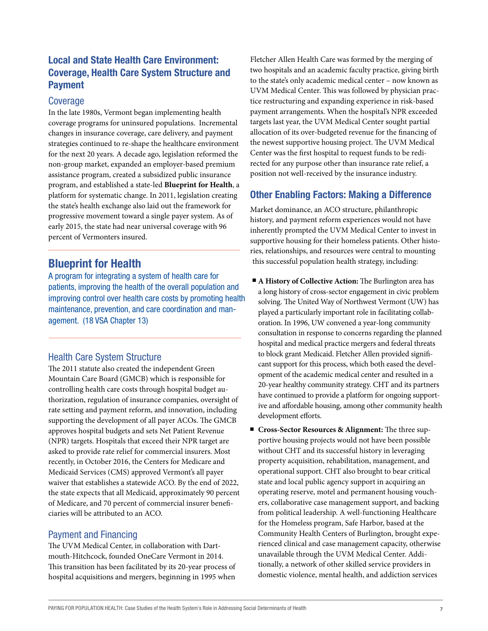#### Local and State Health Care Environment: Coverage, Health Care System Structure and Payment

#### Coverage

In the late 1980s, Vermont began implementing health coverage programs for uninsured populations. Incremental changes in insurance coverage, care delivery, and payment strategies continued to re-shape the healthcare environment for the next 20 years. A decade ago, legislation reformed the non-group market, expanded an employer-based premium assistance program, created a subsidized public insurance program, and established a state-led **Blueprint for Health**, a platform for systematic change. In 2011, legislation creating the state's health exchange also laid out the framework for progressive movement toward a single payer system. As of early 2015, the state had near universal coverage with 96 percent of Vermonters insured.

#### Blueprint for Health

A program for integrating a system of health care for patients, improving the health of the overall population and improving control over health care costs by promoting health maintenance, prevention, and care coordination and management. (18 VSA Chapter 13)

#### Health Care System Structure

The 2011 statute also created the independent Green Mountain Care Board (GMCB) which is responsible for controlling health care costs through hospital budget authorization, regulation of insurance companies, oversight of rate setting and payment reform, and innovation, including supporting the development of all payer ACOs. The GMCB approves hospital budgets and sets Net Patient Revenue (NPR) targets. Hospitals that exceed their NPR target are asked to provide rate relief for commercial insurers. Most recently, in October 2016, the Centers for Medicare and Medicaid Services (CMS) approved Vermont's all payer waiver that establishes a statewide ACO. By the end of 2022, the state expects that all Medicaid, approximately 90 percent of Medicare, and 70 percent of commercial insurer beneficiaries will be attributed to an ACO.

#### Payment and Financing

The UVM Medical Center, in collaboration with Dartmouth-Hitchcock, founded OneCare Vermont in 2014. This transition has been facilitated by its 20-year process of hospital acquisitions and mergers, beginning in 1995 when

Fletcher Allen Health Care was formed by the merging of two hospitals and an academic faculty practice, giving birth to the state's only academic medical center – now known as UVM Medical Center. This was followed by physician practice restructuring and expanding experience in risk-based payment arrangements. When the hospital's NPR exceeded targets last year, the UVM Medical Center sought partial allocation of its over-budgeted revenue for the financing of the newest supportive housing project. The UVM Medical Center was the first hospital to request funds to be redirected for any purpose other than insurance rate relief, a position not well-received by the insurance industry.

#### Other Enabling Factors: Making a Difference

Market dominance, an ACO structure, philanthropic history, and payment reform experiences would not have inherently prompted the UVM Medical Center to invest in supportive housing for their homeless patients. Other histories, relationships, and resources were central to mounting this successful population health strategy, including:

- **A History of Collective Action:** The Burlington area has a long history of cross-sector engagement in civic problem solving. The United Way of Northwest Vermont (UW) has played a particularly important role in facilitating collaboration. In 1996, UW convened a year-long community consultation in response to concerns regarding the planned hospital and medical practice mergers and federal threats to block grant Medicaid. Fletcher Allen provided significant support for this process, which both eased the development of the academic medical center and resulted in a 20-year healthy community strategy. CHT and its partners have continued to provide a platform for ongoing supportive and affordable housing, among other community health development efforts.
- Cross-Sector Resources & Alignment: The three supportive housing projects would not have been possible without CHT and its successful history in leveraging property acquisition, rehabilitation, management, and operational support. CHT also brought to bear critical state and local public agency support in acquiring an operating reserve, motel and permanent housing vouchers, collaborative case management support, and backing from political leadership. A well-functioning Healthcare for the Homeless program, Safe Harbor, based at the Community Health Centers of Burlington, brought experienced clinical and case management capacity, otherwise unavailable through the UVM Medical Center. Additionally, a network of other skilled service providers in domestic violence, mental health, and addiction services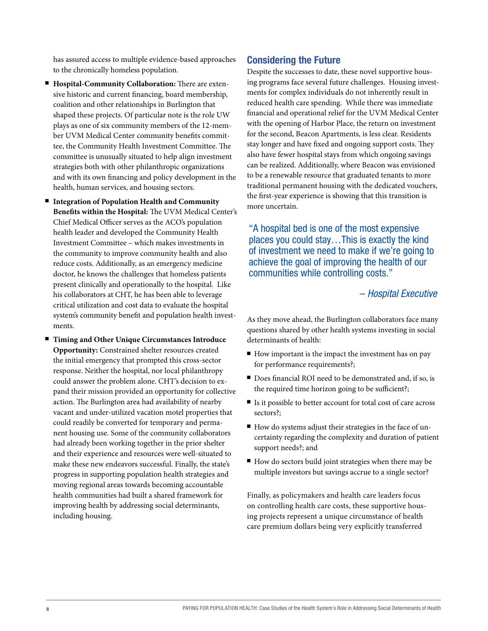has assured access to multiple evidence-based approaches to the chronically homeless population.

- **Hospital-Community Collaboration:** There are extensive historic and current financing, board membership, coalition and other relationships in Burlington that shaped these projects. Of particular note is the role UW plays as one of six community members of the 12-member UVM Medical Center community benefits committee, the Community Health Investment Committee. The committee is unusually situated to help align investment strategies both with other philanthropic organizations and with its own financing and policy development in the health, human services, and housing sectors.
- Integration of Population Health and Community **Benefits within the Hospital:** The UVM Medical Center's Chief Medical Officer serves as the ACO's population health leader and developed the Community Health Investment Committee – which makes investments in the community to improve community health and also reduce costs. Additionally, as an emergency medicine doctor, he knows the challenges that homeless patients present clinically and operationally to the hospital. Like his collaborators at CHT, he has been able to leverage critical utilization and cost data to evaluate the hospital system's community benefit and population health investments.
- <sup>n</sup>**Timing and Other Unique Circumstances Introduce Opportunity:** Constrained shelter resources created the initial emergency that prompted this cross-sector response. Neither the hospital, nor local philanthropy could answer the problem alone. CHT's decision to expand their mission provided an opportunity for collective action. The Burlington area had availability of nearby vacant and under-utilized vacation motel properties that could readily be converted for temporary and permanent housing use. Some of the community collaborators had already been working together in the prior shelter and their experience and resources were well-situated to make these new endeavors successful. Finally, the state's progress in supporting population health strategies and moving regional areas towards becoming accountable health communities had built a shared framework for improving health by addressing social determinants, including housing.

#### Considering the Future

Despite the successes to date, these novel supportive housing programs face several future challenges. Housing investments for complex individuals do not inherently result in reduced health care spending. While there was immediate financial and operational relief for the UVM Medical Center with the opening of Harbor Place, the return on investment for the second, Beacon Apartments, is less clear. Residents stay longer and have fixed and ongoing support costs. They also have fewer hospital stays from which ongoing savings can be realized. Additionally, where Beacon was envisioned to be a renewable resource that graduated tenants to more traditional permanent housing with the dedicated vouchers, the first-year experience is showing that this transition is more uncertain.

"A hospital bed is one of the most expensive places you could stay…This is exactly the kind of investment we need to make if we're going to achieve the goal of improving the health of our communities while controlling costs."

#### – *Hospital Executive*

As they move ahead, the Burlington collaborators face many questions shared by other health systems investing in social determinants of health:

- $\blacksquare$  How important is the impact the investment has on pay for performance requirements?;
- Does financial ROI need to be demonstrated and, if so, is the required time horizon going to be sufficient?;
- If Is it possible to better account for total cost of care across sectors?;
- $\blacksquare$  How do systems adjust their strategies in the face of uncertainty regarding the complexity and duration of patient support needs?; and
- $\blacksquare$  How do sectors build joint strategies when there may be multiple investors but savings accrue to a single sector?

Finally, as policymakers and health care leaders focus on controlling health care costs, these supportive housing projects represent a unique circumstance of health care premium dollars being very explicitly transferred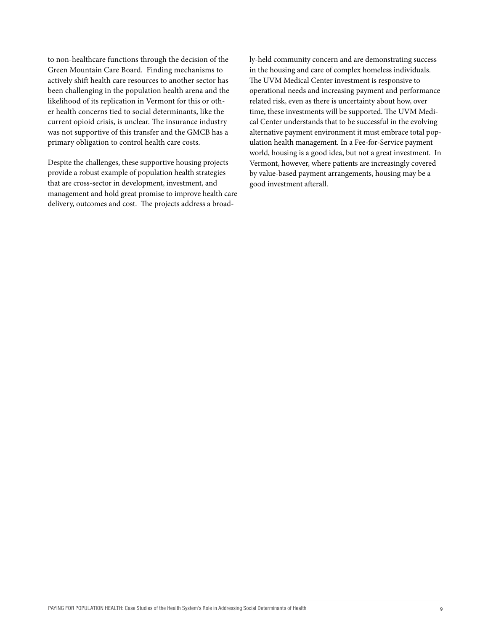to non-healthcare functions through the decision of the Green Mountain Care Board. Finding mechanisms to actively shift health care resources to another sector has been challenging in the population health arena and the likelihood of its replication in Vermont for this or other health concerns tied to social determinants, like the current opioid crisis, is unclear. The insurance industry was not supportive of this transfer and the GMCB has a primary obligation to control health care costs.

Despite the challenges, these supportive housing projects provide a robust example of population health strategies that are cross-sector in development, investment, and management and hold great promise to improve health care delivery, outcomes and cost. The projects address a broadly-held community concern and are demonstrating success in the housing and care of complex homeless individuals. The UVM Medical Center investment is responsive to operational needs and increasing payment and performance related risk, even as there is uncertainty about how, over time, these investments will be supported. The UVM Medical Center understands that to be successful in the evolving alternative payment environment it must embrace total population health management. In a Fee-for-Service payment world, housing is a good idea, but not a great investment. In Vermont, however, where patients are increasingly covered by value-based payment arrangements, housing may be a good investment afterall.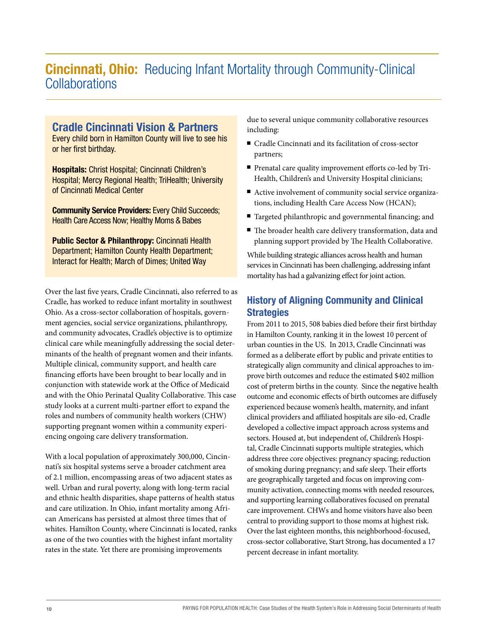# **Cincinnati, Ohio:** Reducing Infant Mortality through Community-Clinical Collaborations

#### Cradle Cincinnati Vision & Partners

Every child born in Hamilton County will live to see his or her first birthday.

Hospitals: Christ Hospital; Cincinnati Children's Hospital; Mercy Regional Health; TriHealth; University of Cincinnati Medical Center

Community Service Providers: Every Child Succeeds; Health Care Access Now; Healthy Moms & Babes

Public Sector & Philanthropy: Cincinnati Health Department; Hamilton County Health Department; Interact for Health; March of Dimes; United Way

Over the last five years, Cradle Cincinnati, also referred to as Cradle, has worked to reduce infant mortality in southwest Ohio. As a cross-sector collaboration of hospitals, government agencies, social service organizations, philanthropy, and community advocates, Cradle's objective is to optimize clinical care while meaningfully addressing the social determinants of the health of pregnant women and their infants. Multiple clinical, community support, and health care financing efforts have been brought to bear locally and in conjunction with statewide work at the Office of Medicaid and with the Ohio Perinatal Quality Collaborative. This case study looks at a current multi-partner effort to expand the roles and numbers of community health workers (CHW) supporting pregnant women within a community experiencing ongoing care delivery transformation.

With a local population of approximately 300,000, Cincinnati's six hospital systems serve a broader catchment area of 2.1 million, encompassing areas of two adjacent states as well. Urban and rural poverty, along with long-term racial and ethnic health disparities, shape patterns of health status and care utilization. In Ohio, infant mortality among African Americans has persisted at almost three times that of whites. Hamilton County, where Cincinnati is located, ranks as one of the two counties with the highest infant mortality rates in the state. Yet there are promising improvements

due to several unique community collaborative resources including:

- Cradle Cincinnati and its facilitation of cross-sector partners;
- Prenatal care quality improvement efforts co-led by Tri-Health, Children's and University Hospital clinicians;
- Active involvement of community social service organizations, including Health Care Access Now (HCAN);
- Targeted philanthropic and governmental financing; and
- $\blacksquare$  The broader health care delivery transformation, data and planning support provided by The Health Collaborative.

While building strategic alliances across health and human services in Cincinnati has been challenging, addressing infant mortality has had a galvanizing effect for joint action.

#### History of Aligning Community and Clinical **Strategies**

From 2011 to 2015, 508 babies died before their first birthday in Hamilton County, ranking it in the lowest 10 percent of urban counties in the US. In 2013, Cradle Cincinnati was formed as a deliberate effort by public and private entities to strategically align community and clinical approaches to improve birth outcomes and reduce the estimated \$402 million cost of preterm births in the county. Since the negative health outcome and economic effects of birth outcomes are diffusely experienced because women's health, maternity, and infant clinical providers and affiliated hospitals are silo-ed, Cradle developed a collective impact approach across systems and sectors. Housed at, but independent of, Children's Hospital, Cradle Cincinnati supports multiple strategies, which address three core objectives: pregnancy spacing; reduction of smoking during pregnancy; and safe sleep. Their efforts are geographically targeted and focus on improving community activation, connecting moms with needed resources, and supporting learning collaboratives focused on prenatal care improvement. CHWs and home visitors have also been central to providing support to those moms at highest risk. Over the last eighteen months, this neighborhood-focused, cross-sector collaborative, Start Strong, has documented a 17 percent decrease in infant mortality.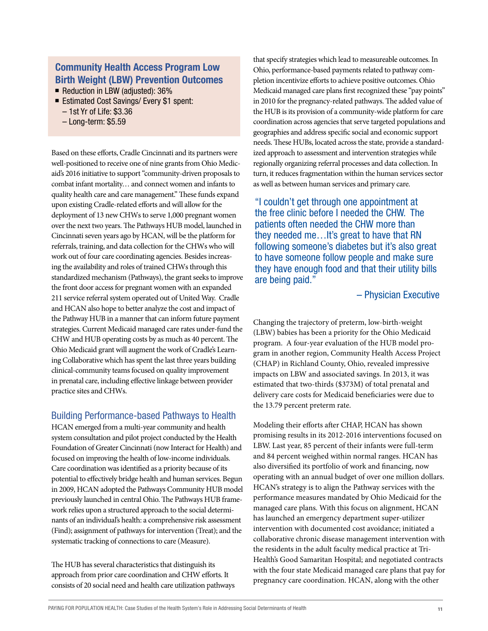#### Community Health Access Program Low Birth Weight (LBW) Prevention Outcomes

Reduction in LBW (adjusted):  $36\%$ 

- Estimated Cost Savings/ Every \$1 spent:
	- 1st Yr of Life: \$3.36
	- Long-term: \$5.59

Based on these efforts, Cradle Cincinnati and its partners were well-positioned to receive one of nine grants from Ohio Medicaid's 2016 initiative to support "community-driven proposals to combat infant mortality… and connect women and infants to quality health care and care management." These funds expand upon existing Cradle-related efforts and will allow for the deployment of 13 new CHWs to serve 1,000 pregnant women over the next two years. The Pathways HUB model, launched in Cincinnati seven years ago by HCAN, will be the platform for referrals, training, and data collection for the CHWs who will work out of four care coordinating agencies. Besides increasing the availability and roles of trained CHWs through this standardized mechanism (Pathways), the grant seeks to improve the front door access for pregnant women with an expanded 211 service referral system operated out of United Way. Cradle and HCAN also hope to better analyze the cost and impact of the Pathway HUB in a manner that can inform future payment strategies. Current Medicaid managed care rates under-fund the CHW and HUB operating costs by as much as 40 percent. The Ohio Medicaid grant will augment the work of Cradle's Learning Collaborative which has spent the last three years building clinical-community teams focused on quality improvement in prenatal care, including effective linkage between provider practice sites and CHWs.

#### Building Performance-based Pathways to Health

HCAN emerged from a multi-year community and health system consultation and pilot project conducted by the Health Foundation of Greater Cincinnati (now Interact for Health) and focused on improving the health of low-income individuals. Care coordination was identified as a priority because of its potential to effectively bridge health and human services. Begun in 2009, HCAN adopted the Pathways Community HUB model previously launched in central Ohio. The Pathways HUB framework relies upon a structured approach to the social determinants of an individual's health: a comprehensive risk assessment (Find); assignment of pathways for intervention (Treat); and the systematic tracking of connections to care (Measure).

The HUB has several characteristics that distinguish its approach from prior care coordination and CHW efforts. It consists of 20 social need and health care utilization pathways

that specify strategies which lead to measureable outcomes. In Ohio, performance-based payments related to pathway completion incentivize efforts to achieve positive outcomes. Ohio Medicaid managed care plans first recognized these "pay points" in 2010 for the pregnancy-related pathways. The added value of the HUB is its provision of a community-wide platform for care coordination across agencies that serve targeted populations and geographies and address specific social and economic support needs. These HUBs, located across the state, provide a standardized approach to assessment and intervention strategies while regionally organizing referral processes and data collection. In turn, it reduces fragmentation within the human services sector as well as between human services and primary care.

"I couldn't get through one appointment at the free clinic before I needed the CHW. The patients often needed the CHW more than they needed me…It's great to have that RN following someone's diabetes but it's also great to have someone follow people and make sure they have enough food and that their utility bills are being paid."

– Physician Executive

Changing the trajectory of preterm, low-birth-weight (LBW) babies has been a priority for the Ohio Medicaid program. A four-year evaluation of the HUB model program in another region, Community Health Access Project (CHAP) in Richland County, Ohio, revealed impressive impacts on LBW and associated savings. In 2013, it was estimated that two-thirds (\$373M) of total prenatal and delivery care costs for Medicaid beneficiaries were due to the 13.79 percent preterm rate.

Modeling their efforts after CHAP, HCAN has shown promising results in its 2012-2016 interventions focused on LBW. Last year, 85 percent of their infants were full-term and 84 percent weighed within normal ranges. HCAN has also diversified its portfolio of work and financing, now operating with an annual budget of over one million dollars. HCAN's strategy is to align the Pathway services with the performance measures mandated by Ohio Medicaid for the managed care plans. With this focus on alignment, HCAN has launched an emergency department super-utilizer intervention with documented cost avoidance; initiated a collaborative chronic disease management intervention with the residents in the adult faculty medical practice at Tri-Health's Good Samaritan Hospital; and negotiated contracts with the four state Medicaid managed care plans that pay for pregnancy care coordination. HCAN, along with the other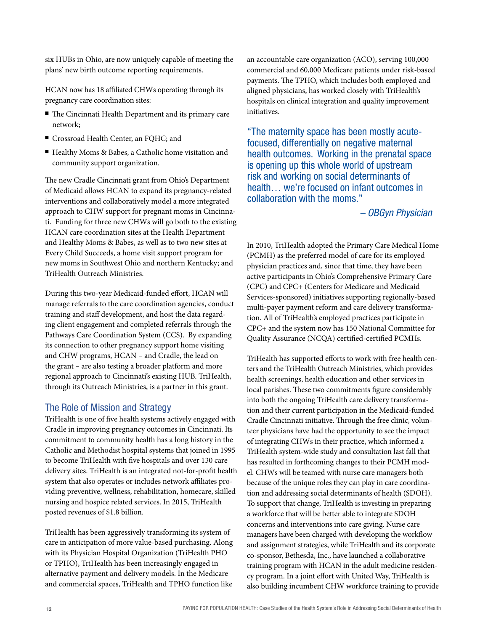six HUBs in Ohio, are now uniquely capable of meeting the plans' new birth outcome reporting requirements.

HCAN now has 18 affiliated CHWs operating through its pregnancy care coordination sites:

- The Cincinnati Health Department and its primary care network;
- Crossroad Health Center, an FQHC; and
- Healthy Moms & Babes, a Catholic home visitation and community support organization.

The new Cradle Cincinnati grant from Ohio's Department of Medicaid allows HCAN to expand its pregnancy-related interventions and collaboratively model a more integrated approach to CHW support for pregnant moms in Cincinnati. Funding for three new CHWs will go both to the existing HCAN care coordination sites at the Health Department and Healthy Moms & Babes, as well as to two new sites at Every Child Succeeds, a home visit support program for new moms in Southwest Ohio and northern Kentucky; and TriHealth Outreach Ministries.

During this two-year Medicaid-funded effort, HCAN will manage referrals to the care coordination agencies, conduct training and staff development, and host the data regarding client engagement and completed referrals through the Pathways Care Coordination System (CCS). By expanding its connection to other pregnancy support home visiting and CHW programs, HCAN – and Cradle, the lead on the grant – are also testing a broader platform and more regional approach to Cincinnati's existing HUB. TriHealth, through its Outreach Ministries, is a partner in this grant.

#### The Role of Mission and Strategy

TriHealth is one of five health systems actively engaged with Cradle in improving pregnancy outcomes in Cincinnati. Its commitment to community health has a long history in the Catholic and Methodist hospital systems that joined in 1995 to become TriHealth with five hospitals and over 130 care delivery sites. TriHealth is an integrated not-for-profit health system that also operates or includes network affiliates providing preventive, wellness, rehabilitation, homecare, skilled nursing and hospice related services. In 2015, TriHealth posted revenues of \$1.8 billion.

TriHealth has been aggressively transforming its system of care in anticipation of more value-based purchasing. Along with its Physician Hospital Organization (TriHealth PHO or TPHO), TriHealth has been increasingly engaged in alternative payment and delivery models. In the Medicare and commercial spaces, TriHealth and TPHO function like

an accountable care organization (ACO), serving 100,000 commercial and 60,000 Medicare patients under risk-based payments. The TPHO, which includes both employed and aligned physicians, has worked closely with TriHealth's hospitals on clinical integration and quality improvement initiatives.

"The maternity space has been mostly acutefocused, differentially on negative maternal health outcomes. Working in the prenatal space is opening up this whole world of upstream risk and working on social determinants of health… we're focused on infant outcomes in collaboration with the moms."

*– OBGyn Physician*

In 2010, TriHealth adopted the Primary Care Medical Home (PCMH) as the preferred model of care for its employed physician practices and, since that time, they have been active participants in Ohio's Comprehensive Primary Care (CPC) and CPC+ (Centers for Medicare and Medicaid Services-sponsored) initiatives supporting regionally-based multi-payer payment reform and care delivery transformation. All of TriHealth's employed practices participate in CPC+ and the system now has 150 National Committee for Quality Assurance (NCQA) certified-certified PCMHs.

TriHealth has supported efforts to work with free health centers and the TriHealth Outreach Ministries, which provides health screenings, health education and other services in local parishes. These two commitments figure considerably into both the ongoing TriHealth care delivery transformation and their current participation in the Medicaid-funded Cradle Cincinnati initiative. Through the free clinic, volunteer physicians have had the opportunity to see the impact of integrating CHWs in their practice, which informed a TriHealth system-wide study and consultation last fall that has resulted in forthcoming changes to their PCMH model. CHWs will be teamed with nurse care managers both because of the unique roles they can play in care coordination and addressing social determinants of health (SDOH). To support that change, TriHealth is investing in preparing a workforce that will be better able to integrate SDOH concerns and interventions into care giving. Nurse care managers have been charged with developing the workflow and assignment strategies, while TriHealth and its corporate co-sponsor, Bethesda, Inc., have launched a collaborative training program with HCAN in the adult medicine residency program. In a joint effort with United Way, TriHealth is also building incumbent CHW workforce training to provide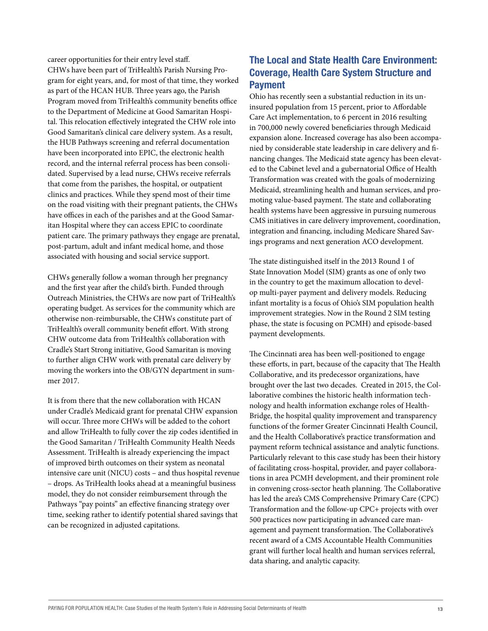career opportunities for their entry level staff. CHWs have been part of TriHealth's Parish Nursing Program for eight years, and, for most of that time, they worked as part of the HCAN HUB. Three years ago, the Parish Program moved from TriHealth's community benefits office to the Department of Medicine at Good Samaritan Hospital. This relocation effectively integrated the CHW role into Good Samaritan's clinical care delivery system. As a result, the HUB Pathways screening and referral documentation have been incorporated into EPIC, the electronic health record, and the internal referral process has been consolidated. Supervised by a lead nurse, CHWs receive referrals that come from the parishes, the hospital, or outpatient clinics and practices. While they spend most of their time on the road visiting with their pregnant patients, the CHWs have offices in each of the parishes and at the Good Samaritan Hospital where they can access EPIC to coordinate patient care. The primary pathways they engage are prenatal, post-partum, adult and infant medical home, and those associated with housing and social service support.

CHWs generally follow a woman through her pregnancy and the first year after the child's birth. Funded through Outreach Ministries, the CHWs are now part of TriHealth's operating budget. As services for the community which are otherwise non-reimbursable, the CHWs constitute part of TriHealth's overall community benefit effort. With strong CHW outcome data from TriHealth's collaboration with Cradle's Start Strong initiative, Good Samaritan is moving to further align CHW work with prenatal care delivery by moving the workers into the OB/GYN department in summer 2017.

It is from there that the new collaboration with HCAN under Cradle's Medicaid grant for prenatal CHW expansion will occur. Three more CHWs will be added to the cohort and allow TriHealth to fully cover the zip codes identified in the Good Samaritan / TriHealth Community Health Needs Assessment. TriHealth is already experiencing the impact of improved birth outcomes on their system as neonatal intensive care unit (NICU) costs – and thus hospital revenue – drops. As TriHealth looks ahead at a meaningful business model, they do not consider reimbursement through the Pathways "pay points" an effective financing strategy over time, seeking rather to identify potential shared savings that can be recognized in adjusted capitations.

#### The Local and State Health Care Environment: Coverage, Health Care System Structure and Payment

Ohio has recently seen a substantial reduction in its uninsured population from 15 percent, prior to Affordable Care Act implementation, to 6 percent in 2016 resulting in 700,000 newly covered beneficiaries through Medicaid expansion alone. Increased coverage has also been accompanied by considerable state leadership in care delivery and financing changes. The Medicaid state agency has been elevated to the Cabinet level and a gubernatorial Office of Health Transformation was created with the goals of modernizing Medicaid, streamlining health and human services, and promoting value-based payment. The state and collaborating health systems have been aggressive in pursuing numerous CMS initiatives in care delivery improvement, coordination, integration and financing, including Medicare Shared Savings programs and next generation ACO development.

The state distinguished itself in the 2013 Round 1 of State Innovation Model (SIM) grants as one of only two in the country to get the maximum allocation to develop multi-payer payment and delivery models. Reducing infant mortality is a focus of Ohio's SIM population health improvement strategies. Now in the Round 2 SIM testing phase, the state is focusing on PCMH) and episode-based payment developments.

The Cincinnati area has been well-positioned to engage these efforts, in part, because of the capacity that The Health Collaborative, and its predecessor organizations, have brought over the last two decades. Created in 2015, the Collaborative combines the historic health information technology and health information exchange roles of Health-Bridge, the hospital quality improvement and transparency functions of the former Greater Cincinnati Health Council, and the Health Collaborative's practice transformation and payment reform technical assistance and analytic functions. Particularly relevant to this case study has been their history of facilitating cross-hospital, provider, and payer collaborations in area PCMH development, and their prominent role in convening cross-sector heath planning. The Collaborative has led the area's CMS Comprehensive Primary Care (CPC) Transformation and the follow-up CPC+ projects with over 500 practices now participating in advanced care management and payment transformation. The Collaborative's recent award of a CMS Accountable Health Communities grant will further local health and human services referral, data sharing, and analytic capacity.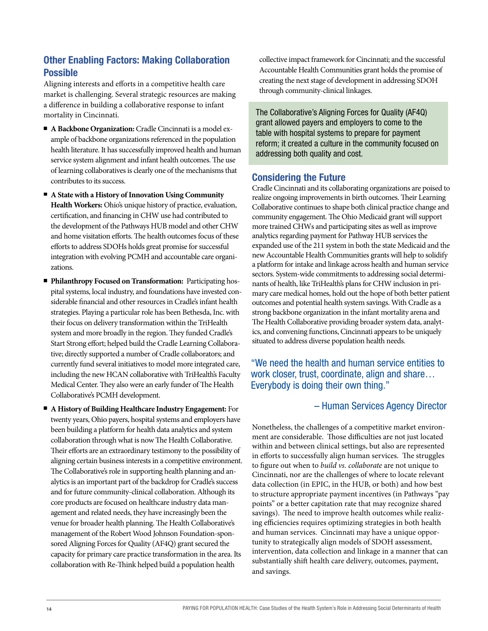#### Other Enabling Factors: Making Collaboration Possible

Aligning interests and efforts in a competitive health care market is challenging. Several strategic resources are making a difference in building a collaborative response to infant mortality in Cincinnati.

- n **A Backbone Organization:** Cradle Cincinnati is a model example of backbone organizations referenced in the population health literature. It has successfully improved health and human service system alignment and infant health outcomes. The use of learning collaboratives is clearly one of the mechanisms that contributes to its success.
- **A State with a History of Innovation Using Community Health Workers:** Ohio's unique history of practice, evaluation, certification, and financing in CHW use had contributed to the development of the Pathways HUB model and other CHW and home visitation efforts. The health outcomes focus of these efforts to address SDOHs holds great promise for successful integration with evolving PCMH and accountable care organizations.
- **Philanthropy Focused on Transformation:** Participating hospital systems, local industry, and foundations have invested considerable financial and other resources in Cradle's infant health strategies. Playing a particular role has been Bethesda, Inc. with their focus on delivery transformation within the TriHealth system and more broadly in the region. They funded Cradle's Start Strong effort; helped build the Cradle Learning Collaborative; directly supported a number of Cradle collaborators; and currently fund several initiatives to model more integrated care, including the new HCAN collaborative with TriHealth's Faculty Medical Center. They also were an early funder of The Health Collaborative's PCMH development.
- <sup>n</sup>**A History of Building Healthcare Industry Engagement:** For twenty years, Ohio payers, hospital systems and employers have been building a platform for health data analytics and system collaboration through what is now The Health Collaborative. Their efforts are an extraordinary testimony to the possibility of aligning certain business interests in a competitive environment. The Collaborative's role in supporting health planning and analytics is an important part of the backdrop for Cradle's success and for future community-clinical collaboration. Although its core products are focused on healthcare industry data management and related needs, they have increasingly been the venue for broader health planning. The Health Collaborative's management of the Robert Wood Johnson Foundation-sponsored Aligning Forces for Quality (AF4Q) grant secured the capacity for primary care practice transformation in the area. Its collaboration with Re-Think helped build a population health

collective impact framework for Cincinnati; and the successful Accountable Health Communities grant holds the promise of creating the next stage of development in addressing SDOH through community-clinical linkages.

The Collaborative's Aligning Forces for Quality (AF4Q) grant allowed payers and employers to come to the table with hospital systems to prepare for payment reform; it created a culture in the community focused on addressing both quality and cost.

#### Considering the Future

Cradle Cincinnati and its collaborating organizations are poised to realize ongoing improvements in birth outcomes. Their Learning Collaborative continues to shape both clinical practice change and community engagement. The Ohio Medicaid grant will support more trained CHWs and participating sites as well as improve analytics regarding payment for Pathway HUB services the expanded use of the 211 system in both the state Medicaid and the new Accountable Health Communities grants will help to solidify a platform for intake and linkage across health and human service sectors. System-wide commitments to addressing social determinants of health, like TriHealth's plans for CHW inclusion in primary care medical homes, hold out the hope of both better patient outcomes and potential health system savings. With Cradle as a strong backbone organization in the infant mortality arena and The Health Collaborative providing broader system data, analytics, and convening functions, Cincinnati appears to be uniquely situated to address diverse population health needs.

"We need the health and human service entities to work closer, trust, coordinate, align and share… Everybody is doing their own thing."

#### – Human Services Agency Director

Nonetheless, the challenges of a competitive market environment are considerable. Those difficulties are not just located within and between clinical settings, but also are represented in efforts to successfully align human services. The struggles to figure out when to *build vs. collaborate* are not unique to Cincinnati, nor are the challenges of where to locate relevant data collection (in EPIC, in the HUB, or both) and how best to structure appropriate payment incentives (in Pathways "pay points" or a better capitation rate that may recognize shared savings). The need to improve health outcomes while realizing efficiencies requires optimizing strategies in both health and human services. Cincinnati may have a unique opportunity to strategically align models of SDOH assessment, intervention, data collection and linkage in a manner that can substantially shift health care delivery, outcomes, payment, and savings.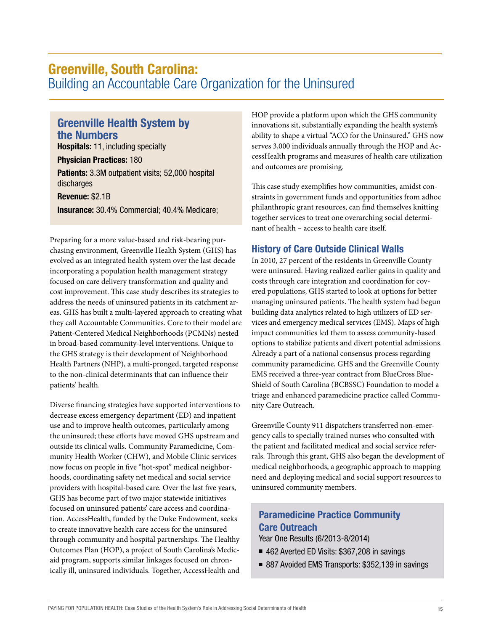### Greenville, South Carolina:

Building an Accountable Care Organization for the Uninsured

#### Greenville Health System by the Numbers

Hospitals: 11, including specialty

Physician Practices: 180 **Patients:** 3.3M outpatient visits; 52,000 hospital discharges

Revenue: \$2.1B

Insurance: 30.4% Commercial; 40.4% Medicare;

Preparing for a more value-based and risk-bearing purchasing environment, Greenville Health System (GHS) has evolved as an integrated health system over the last decade incorporating a population health management strategy focused on care delivery transformation and quality and cost improvement. This case study describes its strategies to address the needs of uninsured patients in its catchment areas. GHS has built a multi-layered approach to creating what they call Accountable Communities. Core to their model are Patient-Centered Medical Neighborhoods (PCMNs) nested in broad-based community-level interventions. Unique to the GHS strategy is their development of Neighborhood Health Partners (NHP), a multi-pronged, targeted response to the non-clinical determinants that can influence their patients' health.

Diverse financing strategies have supported interventions to decrease excess emergency department (ED) and inpatient use and to improve health outcomes, particularly among the uninsured; these efforts have moved GHS upstream and outside its clinical walls. Community Paramedicine, Community Health Worker (CHW), and Mobile Clinic services now focus on people in five "hot-spot" medical neighborhoods, coordinating safety net medical and social service providers with hospital-based care. Over the last five years, GHS has become part of two major statewide initiatives focused on uninsured patients' care access and coordination. AccessHealth, funded by the Duke Endowment, seeks to create innovative health care access for the uninsured through community and hospital partnerships. The Healthy Outcomes Plan (HOP), a project of South Carolina's Medicaid program, supports similar linkages focused on chronically ill, uninsured individuals. Together, AccessHealth and HOP provide a platform upon which the GHS community innovations sit, substantially expanding the health system's ability to shape a virtual "ACO for the Uninsured." GHS now serves 3,000 individuals annually through the HOP and AccessHealth programs and measures of health care utilization and outcomes are promising.

This case study exemplifies how communities, amidst constraints in government funds and opportunities from adhoc philanthropic grant resources, can find themselves knitting together services to treat one overarching social determinant of health – access to health care itself.

#### History of Care Outside Clinical Walls

In 2010, 27 percent of the residents in Greenville County were uninsured. Having realized earlier gains in quality and costs through care integration and coordination for covered populations, GHS started to look at options for better managing uninsured patients. The health system had begun building data analytics related to high utilizers of ED services and emergency medical services (EMS). Maps of high impact communities led them to assess community-based options to stabilize patients and divert potential admissions. Already a part of a national consensus process regarding community paramedicine, GHS and the Greenville County EMS received a three-year contract from BlueCross Blue-Shield of South Carolina (BCBSSC) Foundation to model a triage and enhanced paramedicine practice called Community Care Outreach.

Greenville County 911 dispatchers transferred non-emergency calls to specially trained nurses who consulted with the patient and facilitated medical and social service referrals. Through this grant, GHS also began the development of medical neighborhoods, a geographic approach to mapping need and deploying medical and social support resources to uninsured community members.

#### Paramedicine Practice Community Care Outreach

Year One Results (6/2013-8/2014)

- 462 Averted ED Visits: \$367,208 in savings
- 887 Avoided EMS Transports: \$352,139 in savings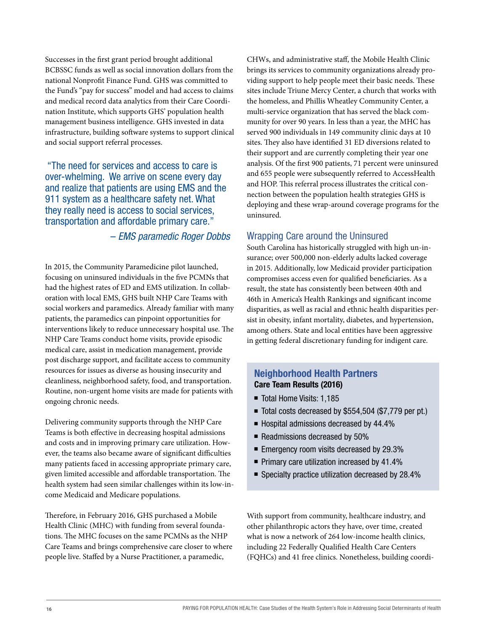Successes in the first grant period brought additional BCBSSC funds as well as social innovation dollars from the national Nonprofit Finance Fund. GHS was committed to the Fund's "pay for success" model and had access to claims and medical record data analytics from their Care Coordination Institute, which supports GHS' population health management business intelligence. GHS invested in data infrastructure, building software systems to support clinical and social support referral processes.

 "The need for services and access to care is over-whelming. We arrive on scene every day and realize that patients are using EMS and the 911 system as a healthcare safety net. What they really need is access to social services, transportation and affordable primary care."

#### – *EMS paramedic Roger Dobbs*

In 2015, the Community Paramedicine pilot launched, focusing on uninsured individuals in the five PCMNs that had the highest rates of ED and EMS utilization. In collaboration with local EMS, GHS built NHP Care Teams with social workers and paramedics. Already familiar with many patients, the paramedics can pinpoint opportunities for interventions likely to reduce unnecessary hospital use. The NHP Care Teams conduct home visits, provide episodic medical care, assist in medication management, provide post discharge support, and facilitate access to community resources for issues as diverse as housing insecurity and cleanliness, neighborhood safety, food, and transportation. Routine, non-urgent home visits are made for patients with ongoing chronic needs.

Delivering community supports through the NHP Care Teams is both effective in decreasing hospital admissions and costs and in improving primary care utilization. However, the teams also became aware of significant difficulties many patients faced in accessing appropriate primary care, given limited accessible and affordable transportation. The health system had seen similar challenges within its low-income Medicaid and Medicare populations.

Therefore, in February 2016, GHS purchased a Mobile Health Clinic (MHC) with funding from several foundations. The MHC focuses on the same PCMNs as the NHP Care Teams and brings comprehensive care closer to where people live. Staffed by a Nurse Practitioner, a paramedic,

CHWs, and administrative staff, the Mobile Health Clinic brings its services to community organizations already providing support to help people meet their basic needs. These sites include Triune Mercy Center, a church that works with the homeless, and Phillis Wheatley Community Center, a multi-service organization that has served the black community for over 90 years. In less than a year, the MHC has served 900 individuals in 149 community clinic days at 10 sites. They also have identified 31 ED diversions related to their support and are currently completing their year one analysis. Of the first 900 patients, 71 percent were uninsured and 655 people were subsequently referred to AccessHealth and HOP. This referral process illustrates the critical connection between the population health strategies GHS is deploying and these wrap-around coverage programs for the uninsured.

#### Wrapping Care around the Uninsured

South Carolina has historically struggled with high un-insurance; over 500,000 non-elderly adults lacked coverage in 2015. Additionally, low Medicaid provider participation compromises access even for qualified beneficiaries. As a result, the state has consistently been between 40th and 46th in America's Health Rankings and significant income disparities, as well as racial and ethnic health disparities persist in obesity, infant mortality, diabetes, and hypertension, among others. State and local entities have been aggressive in getting federal discretionary funding for indigent care.

#### Neighborhood Health Partners Care Team Results (2016)

- Total Home Visits: 1,185
- Total costs decreased by \$554,504 (\$7,779 per pt.)
- $\blacksquare$  Hospital admissions decreased by 44.4%
- $\blacksquare$  Readmissions decreased by 50%
- $\blacksquare$  Emergency room visits decreased by 29.3%
- $\blacksquare$  Primary care utilization increased by 41.4%
- $\blacksquare$  Specialty practice utilization decreased by 28.4%

With support from community, healthcare industry, and other philanthropic actors they have, over time, created what is now a network of 264 low-income health clinics, including 22 Federally Qualified Health Care Centers (FQHCs) and 41 free clinics. Nonetheless, building coordi-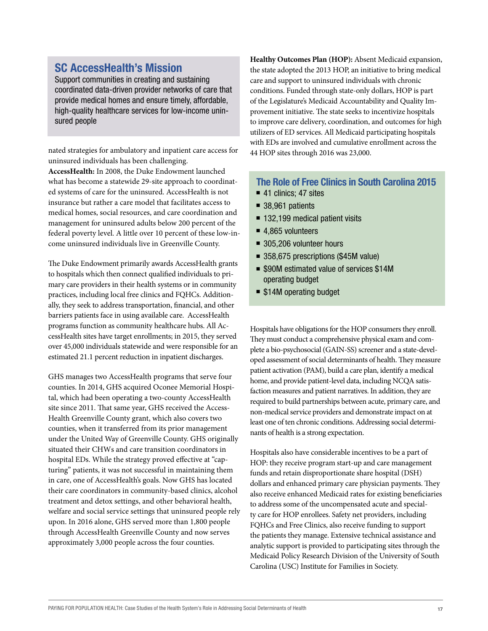#### SC AccessHealth's Mission

Support communities in creating and sustaining coordinated data-driven provider networks of care that provide medical homes and ensure timely, affordable, high-quality healthcare services for low-income uninsured people

nated strategies for ambulatory and inpatient care access for uninsured individuals has been challenging.

**AccessHealth:** In 2008, the Duke Endowment launched what has become a statewide 29-site approach to coordinated systems of care for the uninsured. AccessHealth is not insurance but rather a care model that facilitates access to medical homes, social resources, and care coordination and management for uninsured adults below 200 percent of the federal poverty level. A little over 10 percent of these low-income uninsured individuals live in Greenville County.

The Duke Endowment primarily awards AccessHealth grants to hospitals which then connect qualified individuals to primary care providers in their health systems or in community practices, including local free clinics and FQHCs. Additionally, they seek to address transportation, financial, and other barriers patients face in using available care. AccessHealth programs function as community healthcare hubs. All AccessHealth sites have target enrollments; in 2015, they served over 45,000 individuals statewide and were responsible for an estimated 21.1 percent reduction in inpatient discharges.

GHS manages two AccessHealth programs that serve four counties. In 2014, GHS acquired Oconee Memorial Hospital, which had been operating a two-county AccessHealth site since 2011. That same year, GHS received the Access-Health Greenville County grant, which also covers two counties, when it transferred from its prior management under the United Way of Greenville County. GHS originally situated their CHWs and care transition coordinators in hospital EDs. While the strategy proved effective at "capturing" patients, it was not successful in maintaining them in care, one of AccessHealth's goals. Now GHS has located their care coordinators in community-based clinics, alcohol treatment and detox settings, and other behavioral health, welfare and social service settings that uninsured people rely upon. In 2016 alone, GHS served more than 1,800 people through AccessHealth Greenville County and now serves approximately 3,000 people across the four counties.

**Healthy Outcomes Plan (HOP):** Absent Medicaid expansion, the state adopted the 2013 HOP, an initiative to bring medical care and support to uninsured individuals with chronic conditions. Funded through state-only dollars, HOP is part of the Legislature's Medicaid Accountability and Quality Improvement initiative. The state seeks to incentivize hospitals to improve care delivery, coordination, and outcomes for high utilizers of ED services. All Medicaid participating hospitals with EDs are involved and cumulative enrollment across the 44 HOP sites through 2016 was 23,000.

#### The Role of Free Clinics in South Carolina 2015

- $\blacksquare$  41 clinics: 47 sites
- $\blacksquare$  38,961 patients
- $\blacksquare$  132,199 medical patient visits
- $\blacksquare$  4,865 volunteers
- $\blacksquare$  305,206 volunteer hours
- 358,675 prescriptions (\$45M value)
- \$90M estimated value of services \$14M operating budget
- \$14M operating budget

Hospitals have obligations for the HOP consumers they enroll. They must conduct a comprehensive physical exam and complete a bio-psychosocial (GAIN-SS) screener and a state-developed assessment of social determinants of health. They measure patient activation (PAM), build a care plan, identify a medical home, and provide patient-level data, including NCQA satisfaction measures and patient narratives. In addition, they are required to build partnerships between acute, primary care, and non-medical service providers and demonstrate impact on at least one of ten chronic conditions. Addressing social determinants of health is a strong expectation.

Hospitals also have considerable incentives to be a part of HOP: they receive program start-up and care management funds and retain disproportionate share hospital (DSH) dollars and enhanced primary care physician payments. They also receive enhanced Medicaid rates for existing beneficiaries to address some of the uncompensated acute and specialty care for HOP enrollees. Safety net providers, including FQHCs and Free Clinics, also receive funding to support the patients they manage. Extensive technical assistance and analytic support is provided to participating sites through the Medicaid Policy Research Division of the University of South Carolina (USC) Institute for Families in Society.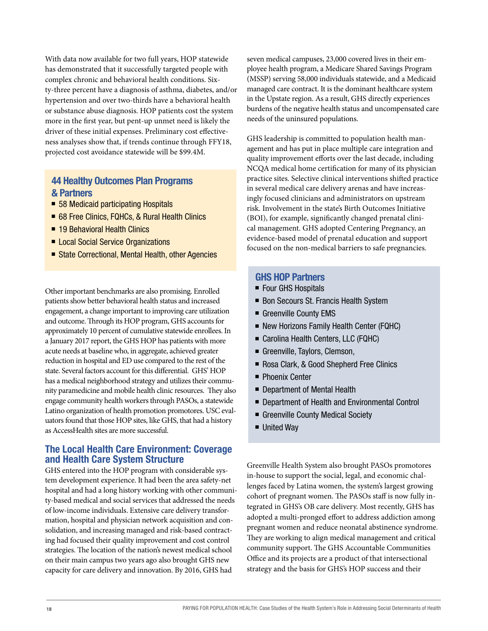With data now available for two full years, HOP statewide has demonstrated that it successfully targeted people with complex chronic and behavioral health conditions. Sixty-three percent have a diagnosis of asthma, diabetes, and/or hypertension and over two-thirds have a behavioral health or substance abuse diagnosis. HOP patients cost the system more in the first year, but pent-up unmet need is likely the driver of these initial expenses. Preliminary cost effectiveness analyses show that, if trends continue through FFY18, projected cost avoidance statewide will be \$99.4M.

#### 44 Healthy Outcomes Plan Programs & Partners

- 58 Medicaid participating Hospitals
- 68 Free Clinics, FQHCs, & Rural Health Clinics
- 19 Behavioral Health Clinics
- Local Social Service Organizations
- State Correctional, Mental Health, other Agencies

Other important benchmarks are also promising. Enrolled patients show better behavioral health status and increased engagement, a change important to improving care utilization and outcome. Through its HOP program, GHS accounts for approximately 10 percent of cumulative statewide enrollees. In a January 2017 report, the GHS HOP has patients with more acute needs at baseline who, in aggregate, achieved greater reduction in hospital and ED use compared to the rest of the state. Several factors account for this differential. GHS' HOP has a medical neighborhood strategy and utilizes their community paramedicine and mobile health clinic resources. They also engage community health workers through PASOs, a statewide Latino organization of health promotion promotores. USC evaluators found that those HOP sites, like GHS, that had a history as AccessHealth sites are more successful.

#### The Local Health Care Environment: Coverage and Health Care System Structure

GHS entered into the HOP program with considerable system development experience. It had been the area safety-net hospital and had a long history working with other community-based medical and social services that addressed the needs of low-income individuals. Extensive care delivery transformation, hospital and physician network acquisition and consolidation, and increasing managed and risk-based contracting had focused their quality improvement and cost control strategies. The location of the nation's newest medical school on their main campus two years ago also brought GHS new capacity for care delivery and innovation. By 2016, GHS had

seven medical campuses, 23,000 covered lives in their employee health program, a Medicare Shared Savings Program (MSSP) serving 58,000 individuals statewide, and a Medicaid managed care contract. It is the dominant healthcare system in the Upstate region. As a result, GHS directly experiences burdens of the negative health status and uncompensated care needs of the uninsured populations.

GHS leadership is committed to population health management and has put in place multiple care integration and quality improvement efforts over the last decade, including NCQA medical home certification for many of its physician practice sites. Selective clinical interventions shifted practice in several medical care delivery arenas and have increasingly focused clinicians and administrators on upstream risk. Involvement in the state's Birth Outcomes Initiative (BOI), for example, significantly changed prenatal clinical management. GHS adopted Centering Pregnancy, an evidence-based model of prenatal education and support focused on the non-medical barriers to safe pregnancies.

#### GHS HOP Partners

- Four GHS Hospitals
- **Bon Secours St. Francis Health System**
- Greenville County EMS
- New Horizons Family Health Center (FQHC)
- Carolina Health Centers, LLC (FQHC)
- Greenville, Taylors, Clemson,
- Rosa Clark, & Good Shepherd Free Clinics
- Phoenix Center
- **Department of Mental Health**
- Department of Health and Environmental Control
- Greenville County Medical Society
- United Wav

Greenville Health System also brought PASOs promotores in-house to support the social, legal, and economic challenges faced by Latina women, the system's largest growing cohort of pregnant women. The PASOs staff is now fully integrated in GHS's OB care delivery. Most recently, GHS has adopted a multi-pronged effort to address addiction among pregnant women and reduce neonatal abstinence syndrome. They are working to align medical management and critical community support. The GHS Accountable Communities Office and its projects are a product of that intersectional strategy and the basis for GHS's HOP success and their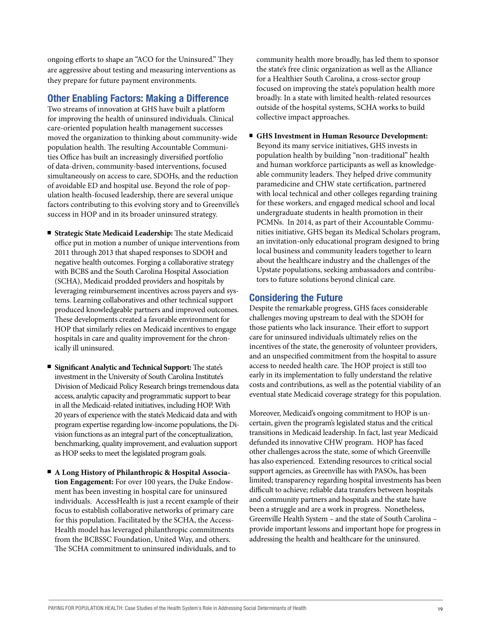ongoing efforts to shape an "ACO for the Uninsured." They are aggressive about testing and measuring interventions as they prepare for future payment environments.

#### Other Enabling Factors: Making a Difference

Two streams of innovation at GHS have built a platform for improving the health of uninsured individuals. Clinical care-oriented population health management successes moved the organization to thinking about community-wide population health. The resulting Accountable Communities Office has built an increasingly diversified portfolio of data-driven, community-based interventions, focused simultaneously on access to care, SDOHs, and the reduction of avoidable ED and hospital use. Beyond the role of population health-focused leadership, there are several unique factors contributing to this evolving story and to Greenville's success in HOP and in its broader uninsured strategy.

- **Strategic State Medicaid Leadership:** The state Medicaid office put in motion a number of unique interventions from 2011 through 2013 that shaped responses to SDOH and negative health outcomes. Forging a collaborative strategy with BCBS and the South Carolina Hospital Association (SCHA), Medicaid prodded providers and hospitals by leveraging reimbursement incentives across payers and systems. Learning collaboratives and other technical support produced knowledgeable partners and improved outcomes. These developments created a favorable environment for HOP that similarly relies on Medicaid incentives to engage hospitals in care and quality improvement for the chronically ill uninsured.
- **Significant Analytic and Technical Support:** The state's investment in the University of South Carolina Institute's Division of Medicaid Policy Research brings tremendous data access, analytic capacity and programmatic support to bear in all the Medicaid-related initiatives, including HOP. With 20 years of experience with the state's Medicaid data and with program expertise regarding low-income populations, the Division functions as an integral part of the conceptualization, benchmarking, quality improvement, and evaluation support as HOP seeks to meet the legislated program goals.
- **A Long History of Philanthropic & Hospital Association Engagement:** For over 100 years, the Duke Endowment has been investing in hospital care for uninsured individuals. AccessHealth is just a recent example of their focus to establish collaborative networks of primary care for this population. Facilitated by the SCHA, the Access-Health model has leveraged philanthropic commitments from the BCBSSC Foundation, United Way, and others. The SCHA commitment to uninsured individuals, and to

community health more broadly, has led them to sponsor the state's free clinic organization as well as the Alliance for a Healthier South Carolina, a cross-sector group focused on improving the state's population health more broadly. In a state with limited health-related resources outside of the hospital systems, SCHA works to build collective impact approaches.

**GHS Investment in Human Resource Development:**  Beyond its many service initiatives, GHS invests in population health by building "non-traditional" health and human workforce participants as well as knowledgeable community leaders. They helped drive community paramedicine and CHW state certification, partnered with local technical and other colleges regarding training for these workers, and engaged medical school and local undergraduate students in health promotion in their PCMNs. In 2014, as part of their Accountable Communities initiative, GHS began its Medical Scholars program, an invitation-only educational program designed to bring local business and community leaders together to learn about the healthcare industry and the challenges of the Upstate populations, seeking ambassadors and contributors to future solutions beyond clinical care.

#### Considering the Future

Despite the remarkable progress, GHS faces considerable challenges moving upstream to deal with the SDOH for those patients who lack insurance. Their effort to support care for uninsured individuals ultimately relies on the incentives of the state, the generosity of volunteer providers, and an unspecified commitment from the hospital to assure access to needed health care. The HOP project is still too early in its implementation to fully understand the relative costs and contributions, as well as the potential viability of an eventual state Medicaid coverage strategy for this population.

Moreover, Medicaid's ongoing commitment to HOP is uncertain, given the program's legislated status and the critical transitions in Medicaid leadership. In fact, last year Medicaid defunded its innovative CHW program. HOP has faced other challenges across the state, some of which Greenville has also experienced. Extending resources to critical social support agencies, as Greenville has with PASOs, has been limited; transparency regarding hospital investments has been difficult to achieve; reliable data transfers between hospitals and community partners and hospitals and the state have been a struggle and are a work in progress. Nonetheless, Greenville Health System – and the state of South Carolina – provide important lessons and important hope for progress in addressing the health and healthcare for the uninsured.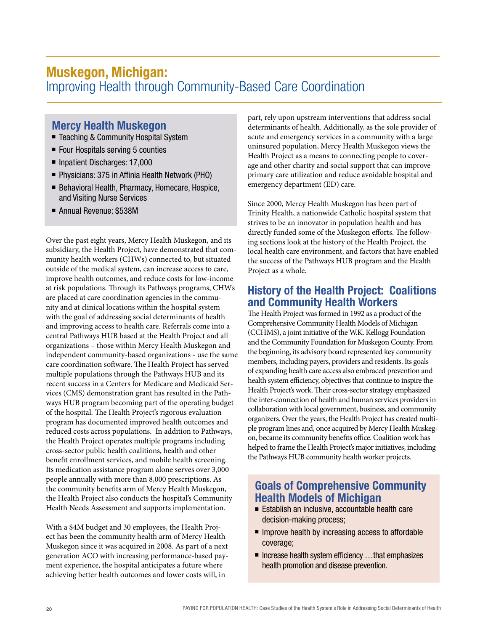### Muskegon, Michigan: Improving Health through Community-Based Care Coordination

#### Mercy Health Muskegon

- Teaching & Community Hospital System
- $\blacksquare$  Four Hospitals serving 5 counties
- Inpatient Discharges: 17,000
- Physicians: 375 in Affinia Health Network (PHO)
- Behavioral Health, Pharmacy, Homecare, Hospice, and Visiting Nurse Services
- Annual Revenue: \$538M

Over the past eight years, Mercy Health Muskegon, and its subsidiary, the Health Project, have demonstrated that community health workers (CHWs) connected to, but situated outside of the medical system, can increase access to care, improve health outcomes, and reduce costs for low-income at risk populations. Through its Pathways programs, CHWs are placed at care coordination agencies in the community and at clinical locations within the hospital system with the goal of addressing social determinants of health and improving access to health care. Referrals come into a central Pathways HUB based at the Health Project and all organizations – those within Mercy Health Muskegon and independent community-based organizations - use the same care coordination software. The Health Project has served multiple populations through the Pathways HUB and its recent success in a Centers for Medicare and Medicaid Services (CMS) demonstration grant has resulted in the Pathways HUB program becoming part of the operating budget of the hospital. The Health Project's rigorous evaluation program has documented improved health outcomes and reduced costs across populations. In addition to Pathways, the Health Project operates multiple programs including cross-sector public health coalitions, health and other benefit enrollment services, and mobile health screening. Its medication assistance program alone serves over 3,000 people annually with more than 8,000 prescriptions. As the community benefits arm of Mercy Health Muskegon, the Health Project also conducts the hospital's Community Health Needs Assessment and supports implementation.

With a \$4M budget and 30 employees, the Health Project has been the community health arm of Mercy Health Muskegon since it was acquired in 2008. As part of a next generation ACO with increasing performance-based payment experience, the hospital anticipates a future where achieving better health outcomes and lower costs will, in

part, rely upon upstream interventions that address social determinants of health. Additionally, as the sole provider of acute and emergency services in a community with a large uninsured population, Mercy Health Muskegon views the Health Project as a means to connecting people to coverage and other charity and social support that can improve primary care utilization and reduce avoidable hospital and emergency department (ED) care.

Since 2000, Mercy Health Muskegon has been part of Trinity Health, a nationwide Catholic hospital system that strives to be an innovator in population health and has directly funded some of the Muskegon efforts. The following sections look at the history of the Health Project, the local health care environment, and factors that have enabled the success of the Pathways HUB program and the Health Project as a whole.

#### History of the Health Project: Coalitions and Community Health Workers

The Health Project was formed in 1992 as a product of the Comprehensive Community Health Models of Michigan (CCHMS), a joint initiative of the W.K. Kellogg Foundation and the Community Foundation for Muskegon County. From the beginning, its advisory board represented key community members, including payers, providers and residents. Its goals of expanding health care access also embraced prevention and health system efficiency, objectives that continue to inspire the Health Project's work. Their cross-sector strategy emphasized the inter-connection of health and human services providers in collaboration with local government, business, and community organizers. Over the years, the Health Project has created multiple program lines and, once acquired by Mercy Health Muskegon, became its community benefits office. Coalition work has helped to frame the Health Project's major initiatives, including the Pathways HUB community health worker projects.

#### Goals of Comprehensive Community Health Models of Michigan

- $\blacksquare$  Establish an inclusive, accountable health care decision-making process;
- $\blacksquare$  Improve health by increasing access to affordable coverage;
- $\blacksquare$  Increase health system efficiency ...that emphasizes health promotion and disease prevention.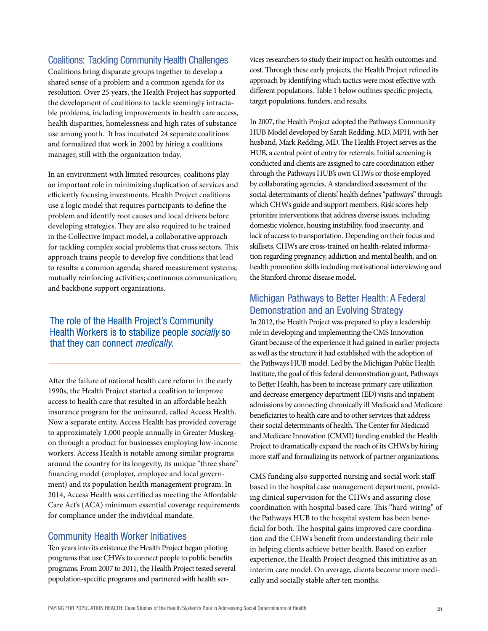#### Coalitions: Tackling Community Health Challenges

Coalitions bring disparate groups together to develop a shared sense of a problem and a common agenda for its resolution. Over 25 years, the Health Project has supported the development of coalitions to tackle seemingly intractable problems, including improvements in health care access, health disparities, homelessness and high rates of substance use among youth. It has incubated 24 separate coalitions and formalized that work in 2002 by hiring a coalitions manager, still with the organization today.

In an environment with limited resources, coalitions play an important role in minimizing duplication of services and efficiently focusing investments. Health Project coalitions use a logic model that requires participants to define the problem and identify root causes and local drivers before developing strategies. They are also required to be trained in the Collective Impact model, a collaborative approach for tackling complex social problems that cross sectors. This approach trains people to develop five conditions that lead to results: a common agenda; shared measurement systems; mutually reinforcing activities; continuous communication; and backbone support organizations.

#### The role of the Health Project's Community Health Workers is to stabilize people *socially* so that they can connect *medically*.

After the failure of national health care reform in the early 1990s, the Health Project started a coalition to improve access to health care that resulted in an affordable health insurance program for the uninsured, called Access Health. Now a separate entity, Access Health has provided coverage to approximately 1,000 people annually in Greater Muskegon through a product for businesses employing low-income workers. Access Health is notable among similar programs around the country for its longevity, its unique "three share" financing model (employer, employee and local government) and its population health management program. In 2014, Access Health was certified as meeting the Affordable Care Act's (ACA) minimum essential coverage requirements for compliance under the individual mandate.

#### Community Health Worker Initiatives

Ten years into its existence the Health Project began piloting programs that use CHWs to connect people to public benefits programs. From 2007 to 2011, the Health Project tested several population-specific programs and partnered with health services researchers to study their impact on health outcomes and cost. Through these early projects, the Health Project refined its approach by identifying which tactics were most effective with different populations. Table 1 below outlines specific projects, target populations, funders, and results.

In 2007, the Health Project adopted the Pathways Community HUB Model developed by Sarah Redding, MD, MPH, with her husband, Mark Redding, MD. The Health Project serves as the HUB, a central point of entry for referrals. Initial screening is conducted and clients are assigned to care coordination either through the Pathways HUB's own CHWs or those employed by collaborating agencies. A standardized assessment of the social determinants of clients' health defines "pathways" through which CHWs guide and support members. Risk scores help prioritize interventions that address diverse issues, including domestic violence, housing instability, food insecurity, and lack of access to transportation. Depending on their focus and skillsets, CHWs are cross-trained on health-related information regarding pregnancy, addiction and mental health, and on health promotion skills including motivational interviewing and the Stanford chronic disease model.

#### Michigan Pathways to Better Health: A Federal Demonstration and an Evolving Strategy

In 2012, the Health Project was prepared to play a leadership role in developing and implementing the CMS Innovation Grant because of the experience it had gained in earlier projects as well as the structure it had established with the adoption of the Pathways HUB model. Led by the Michigan Public Health Institute, the goal of this federal demonstration grant, Pathways to Better Health, has been to increase primary care utilization and decrease emergency department (ED) visits and inpatient admissions by connecting chronically ill Medicaid and Medicare beneficiaries to health care and to other services that address their social determinants of health. The Center for Medicaid and Medicare Innovation (CMMI) funding enabled the Health Project to dramatically expand the reach of its CHWs by hiring more staff and formalizing its network of partner organizations.

CMS funding also supported nursing and social work staff based in the hospital case management department, providing clinical supervision for the CHWs and assuring close coordination with hospital-based care. This "hard-wiring" of the Pathways HUB to the hospital system has been beneficial for both. The hospital gains improved care coordination and the CHWs benefit from understanding their role in helping clients achieve better health. Based on earlier experience, the Health Project designed this initiative as an interim care model. On average, clients become more medically and socially stable after ten months.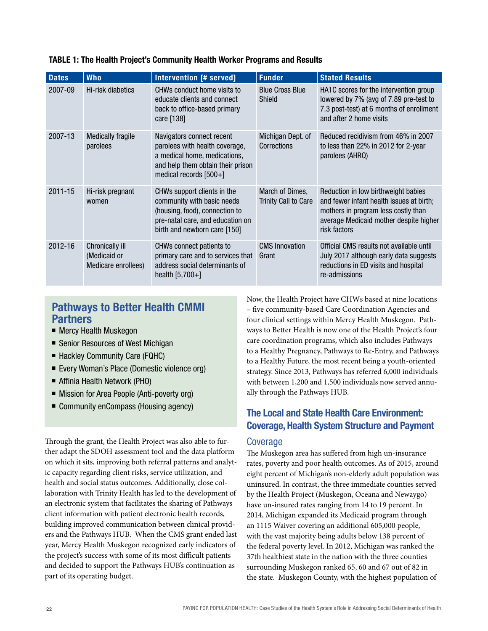| <b>Dates</b> | <b>Who</b>                                                    | Intervention [# served]                                                                                                                                         | <b>Funder</b>                                  | <b>Stated Results</b>                                                                                                                                                            |
|--------------|---------------------------------------------------------------|-----------------------------------------------------------------------------------------------------------------------------------------------------------------|------------------------------------------------|----------------------------------------------------------------------------------------------------------------------------------------------------------------------------------|
| 2007-09      | Hi-risk diabetics                                             | CHWs conduct home visits to<br>educate clients and connect<br>back to office-based primary<br>care [138]                                                        | <b>Blue Cross Blue</b><br>Shield               | HA1C scores for the intervention group<br>lowered by 7% (avg of 7.89 pre-test to<br>7.3 post-test) at 6 months of enrollment<br>and after 2 home visits                          |
| 2007-13      | <b>Medically fragile</b><br>parolees                          | Navigators connect recent<br>parolees with health coverage,<br>a medical home, medications,<br>and help them obtain their prison<br>medical records $[500+]$    | Michigan Dept. of<br>Corrections               | Reduced recidivism from 46% in 2007<br>to less than 22% in 2012 for 2-year<br>parolees (AHRQ)                                                                                    |
| 2011-15      | Hi-risk pregnant<br>women                                     | CHWs support clients in the<br>community with basic needs<br>(housing, food), connection to<br>pre-natal care, and education on<br>birth and newborn care [150] | March of Dimes,<br><b>Trinity Call to Care</b> | Reduction in low birthweight babies<br>and fewer infant health issues at birth;<br>mothers in program less costly than<br>average Medicaid mother despite higher<br>risk factors |
| 2012-16      | <b>Chronically ill</b><br>(Medicaid or<br>Medicare enrollees) | CHWs connect patients to<br>primary care and to services that<br>address social determinants of<br>health $[5,700+]$                                            | <b>CMS Innovation</b><br>Grant                 | Official CMS results not available until<br>July 2017 although early data suggests<br>reductions in ED visits and hospital<br>re-admissions                                      |

#### TABLE 1: The Health Project's Community Health Worker Programs and Results

#### Pathways to Better Health CMMI Partners

- Mercy Health Muskegon
- Senior Resources of West Michigan
- Hackley Community Care (FQHC)
- Every Woman's Place (Domestic violence org)
- Affinia Health Network (PHO)
- Mission for Area People (Anti-poverty org)
- Community enCompass (Housing agency)

Through the grant, the Health Project was also able to further adapt the SDOH assessment tool and the data platform on which it sits, improving both referral patterns and analytic capacity regarding client risks, service utilization, and health and social status outcomes. Additionally, close collaboration with Trinity Health has led to the development of an electronic system that facilitates the sharing of Pathways client information with patient electronic health records, building improved communication between clinical providers and the Pathways HUB. When the CMS grant ended last year, Mercy Health Muskegon recognized early indicators of the project's success with some of its most difficult patients and decided to support the Pathways HUB's continuation as part of its operating budget.

Now, the Health Project have CHWs based at nine locations – five community-based Care Coordination Agencies and four clinical settings within Mercy Health Muskegon. Pathways to Better Health is now one of the Health Project's four care coordination programs, which also includes Pathways to a Healthy Pregnancy, Pathways to Re-Entry, and Pathways to a Healthy Future, the most recent being a youth-oriented strategy. Since 2013, Pathways has referred 6,000 individuals with between 1,200 and 1,500 individuals now served annually through the Pathways HUB.

#### The Local and State Health Care Environment: Coverage, Health System Structure and Payment

#### Coverage

The Muskegon area has suffered from high un-insurance rates, poverty and poor health outcomes. As of 2015, around eight percent of Michigan's non-elderly adult population was uninsured. In contrast, the three immediate counties served by the Health Project (Muskegon, Oceana and Newaygo) have un-insured rates ranging from 14 to 19 percent. In 2014, Michigan expanded its Medicaid program through an 1115 Waiver covering an additional 605,000 people, with the vast majority being adults below 138 percent of the federal poverty level. In 2012, Michigan was ranked the 37th healthiest state in the nation with the three counties surrounding Muskegon ranked 65, 60 and 67 out of 82 in the state. Muskegon County, with the highest population of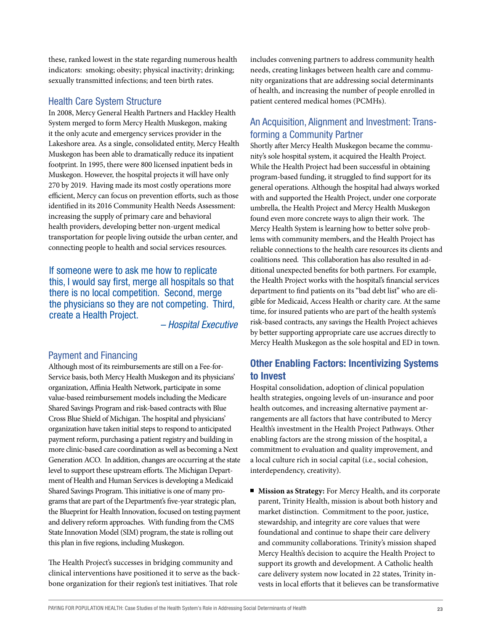these, ranked lowest in the state regarding numerous health indicators: smoking; obesity; physical inactivity; drinking; sexually transmitted infections; and teen birth rates.

#### Health Care System Structure

In 2008, Mercy General Health Partners and Hackley Health System merged to form Mercy Health Muskegon, making it the only acute and emergency services provider in the Lakeshore area. As a single, consolidated entity, Mercy Health Muskegon has been able to dramatically reduce its inpatient footprint. In 1995, there were 800 licensed inpatient beds in Muskegon. However, the hospital projects it will have only 270 by 2019. Having made its most costly operations more efficient, Mercy can focus on prevention efforts, such as those identified in its 2016 Community Health Needs Assessment: increasing the supply of primary care and behavioral health providers, developing better non-urgent medical transportation for people living outside the urban center, and connecting people to health and social services resources.

If someone were to ask me how to replicate this, I would say first, merge all hospitals so that there is no local competition. Second, merge the physicians so they are not competing. Third, create a Health Project.

*– Hospital Executive*

#### Payment and Financing

Although most of its reimbursements are still on a Fee-for-Service basis, both Mercy Health Muskegon and its physicians' organization, Affinia Health Network, participate in some value-based reimbursement models including the Medicare Shared Savings Program and risk-based contracts with Blue Cross Blue Shield of Michigan. The hospital and physicians' organization have taken initial steps to respond to anticipated payment reform, purchasing a patient registry and building in more clinic-based care coordination as well as becoming a Next Generation ACO. In addition, changes are occurring at the state level to support these upstream efforts. The Michigan Department of Health and Human Services is developing a Medicaid Shared Savings Program. This initiative is one of many programs that are part of the Department's five-year strategic plan, the Blueprint for Health Innovation, focused on testing payment and delivery reform approaches. With funding from the CMS State Innovation Model (SIM) program, the state is rolling out this plan in five regions, including Muskegon.

The Health Project's successes in bridging community and clinical interventions have positioned it to serve as the backbone organization for their region's test initiatives. That role

includes convening partners to address community health needs, creating linkages between health care and community organizations that are addressing social determinants of health, and increasing the number of people enrolled in patient centered medical homes (PCMHs).

#### An Acquisition, Alignment and Investment: Transforming a Community Partner

Shortly after Mercy Health Muskegon became the community's sole hospital system, it acquired the Health Project. While the Health Project had been successful in obtaining program-based funding, it struggled to find support for its general operations. Although the hospital had always worked with and supported the Health Project, under one corporate umbrella, the Health Project and Mercy Health Muskegon found even more concrete ways to align their work. The Mercy Health System is learning how to better solve problems with community members, and the Health Project has reliable connections to the health care resources its clients and coalitions need. This collaboration has also resulted in additional unexpected benefits for both partners. For example, the Health Project works with the hospital's financial services department to find patients on its "bad debt list" who are eligible for Medicaid, Access Health or charity care. At the same time, for insured patients who are part of the health system's risk-based contracts, any savings the Health Project achieves by better supporting appropriate care use accrues directly to Mercy Health Muskegon as the sole hospital and ED in town.

#### Other Enabling Factors: Incentivizing Systems to Invest

Hospital consolidation, adoption of clinical population health strategies, ongoing levels of un-insurance and poor health outcomes, and increasing alternative payment arrangements are all factors that have contributed to Mercy Health's investment in the Health Project Pathways. Other enabling factors are the strong mission of the hospital, a commitment to evaluation and quality improvement, and a local culture rich in social capital (i.e., social cohesion, interdependency, creativity).

**Mission as Strategy:** For Mercy Health, and its corporate parent, Trinity Health, mission is about both history and market distinction. Commitment to the poor, justice, stewardship, and integrity are core values that were foundational and continue to shape their care delivery and community collaborations. Trinity's mission shaped Mercy Health's decision to acquire the Health Project to support its growth and development. A Catholic health care delivery system now located in 22 states, Trinity invests in local efforts that it believes can be transformative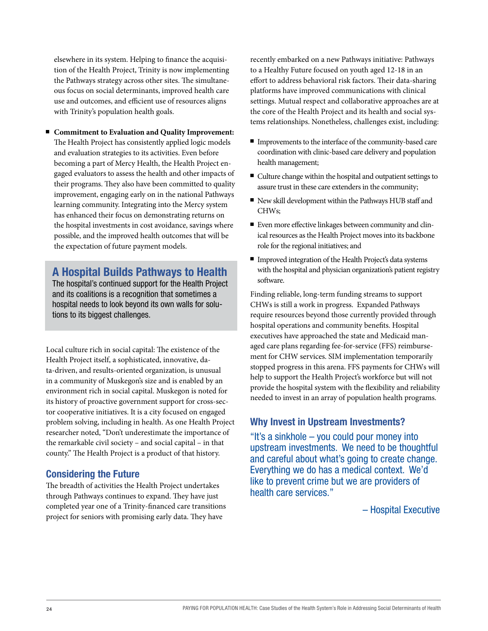elsewhere in its system. Helping to finance the acquisition of the Health Project, Trinity is now implementing the Pathways strategy across other sites. The simultaneous focus on social determinants, improved health care use and outcomes, and efficient use of resources aligns with Trinity's population health goals.

**Commitment to Evaluation and Quality Improvement:** The Health Project has consistently applied logic models and evaluation strategies to its activities. Even before becoming a part of Mercy Health, the Health Project engaged evaluators to assess the health and other impacts of their programs. They also have been committed to quality improvement, engaging early on in the national Pathways learning community. Integrating into the Mercy system has enhanced their focus on demonstrating returns on the hospital investments in cost avoidance, savings where possible, and the improved health outcomes that will be the expectation of future payment models.

#### A Hospital Builds Pathways to Health

The hospital's continued support for the Health Project and its coalitions is a recognition that sometimes a hospital needs to look beyond its own walls for solutions to its biggest challenges.

Local culture rich in social capital: The existence of the Health Project itself, a sophisticated, innovative, data-driven, and results-oriented organization, is unusual in a community of Muskegon's size and is enabled by an environment rich in social capital. Muskegon is noted for its history of proactive government support for cross-sector cooperative initiatives. It is a city focused on engaged problem solving, including in health. As one Health Project researcher noted, "Don't underestimate the importance of the remarkable civil society – and social capital – in that county." The Health Project is a product of that history.

#### Considering the Future

The breadth of activities the Health Project undertakes through Pathways continues to expand. They have just completed year one of a Trinity-financed care transitions project for seniors with promising early data. They have

recently embarked on a new Pathways initiative: Pathways to a Healthy Future focused on youth aged 12-18 in an effort to address behavioral risk factors. Their data-sharing platforms have improved communications with clinical settings. Mutual respect and collaborative approaches are at the core of the Health Project and its health and social systems relationships. Nonetheless, challenges exist, including:

- Improvements to the interface of the community-based care coordination with clinic-based care delivery and population health management;
- $\blacksquare$  Culture change within the hospital and outpatient settings to assure trust in these care extenders in the community;
- $\blacksquare$  New skill development within the Pathways HUB staff and CHWs;
- Even more effective linkages between community and clinical resources as the Health Project moves into its backbone role for the regional initiatives; and
- $\blacksquare$  Improved integration of the Health Project's data systems with the hospital and physician organization's patient registry software.

Finding reliable, long-term funding streams to support CHWs is still a work in progress. Expanded Pathways require resources beyond those currently provided through hospital operations and community benefits. Hospital executives have approached the state and Medicaid managed care plans regarding fee-for-service (FFS) reimbursement for CHW services. SIM implementation temporarily stopped progress in this arena. FFS payments for CHWs will help to support the Health Project's workforce but will not provide the hospital system with the flexibility and reliability needed to invest in an array of population health programs.

#### Why Invest in Upstream Investments?

"It's a sinkhole – you could pour money into upstream investments. We need to be thoughtful and careful about what's going to create change. Everything we do has a medical context. We'd like to prevent crime but we are providers of health care services."

– Hospital Executive